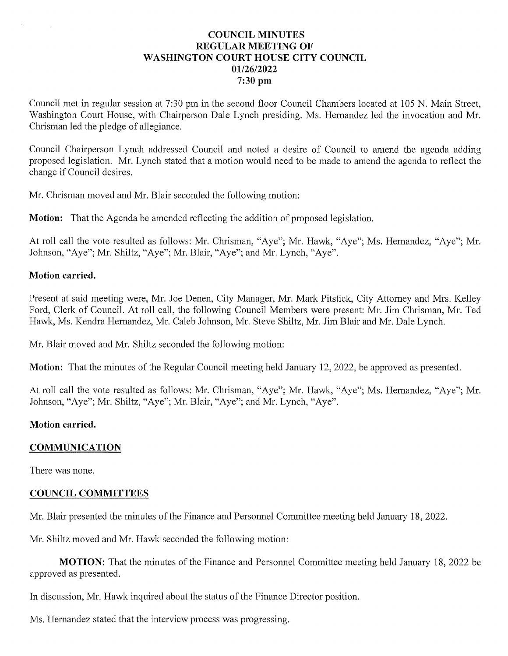## **COUNCIL MINUTES** REGULAR MEETING OF WASHINGTON COURT HOUSE CITY COUNCIL 01/26/2022 7:30 pm

Council met in regular session at 7:30 pm in the second floor Council Chambers located at <sup>105</sup> N. Main Street, Washington Court House, with Chairperson Dale Lynch presiding. Ms. Hernandez led the invocation and Mr. Chrisman led the pledge of allegiance.

Council Chairperson Lynch addressed Council and noted a desire of Council to amend the agenda adding proposed legislation. Mr. Lynch stated that a motion would need to be made to amend the agenda to reflect the change if Council desires.

Mr. Chrisman moved and Mr. Blair seconded the following motion:

**Motion:** That the Agenda be amended reflecting the addition of proposed legislation.

At roll call the vote resulted as follows: Mr. Chrisman, "Aye"; Mr. Hawk, "Aye"; Ms. Hernandez, "Aye"; Mr. Johnson, "Aye"; Mr. Shiltz, "Aye"; Mr. Blair, "Aye"; and Mr. Lynch, "Aye".

#### Motion carried.

Present at said meeting were, Mr. Joe Denen, City Manager, Mr. Mark Pitstick, City Attorney and Mrs. Kelley Ford, Clerk of Council. At roll call, the following Council Members were present: Mr. Jim Chrisman, Mr. Ted Hawk, Ms. Kendra Hernandez, Mr. Caleb Johnson, Mr. Steve Shiltz, Mr. Jim Blair and Mr. Dale Lynch.

Mr. Blair moved and Mr. Shiltz seconded the following motion:

Motion: That the minutes of the Regular Council meeting held January 12, 2022, be approved as presented.

At roll call the vote resulted as follows: Mr. Chrisman, "Aye"; Mr. Hawk, "Aye"; Ms. Hernandez, "Aye"; Mr. Johnson, "Aye"; Mr. Shiltz, "Aye"; Mr. Blair, "Aye"; and Mr. Lynch, "Aye".

#### Motion carried.

## COMMUNICATION

There was none.

#### COUNCIL COMMITTEES

Mr. Blair presented the minutes of the Finance and Personnel Committee meeting held January 18, 2022.

Mr. Shiltz moved and Mr. Hawk seconded the following motion:

MOTION: That the minutes of the Finance and Personnel Committee meeting held January 18, 2022 be approved as presented.

In discussion, Mr. Hawk inquired about the status of the Finance Director position.

Ms. Hernandez stated that the interview process was progressing.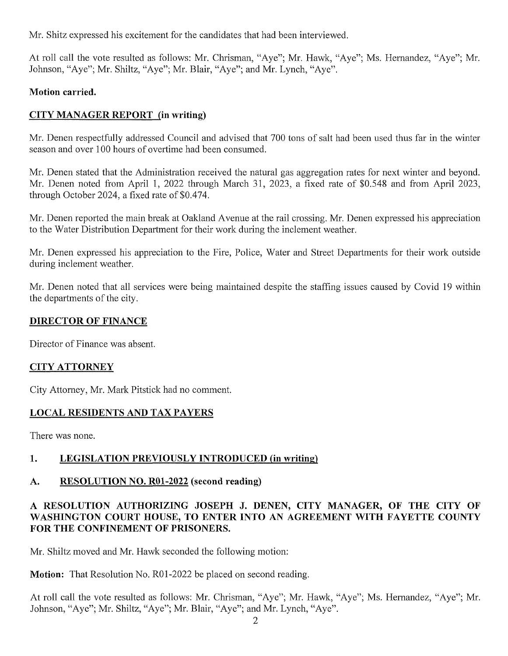Mr. Shitz expressed his excitement for the candidates that had been interviewed.

At roll call the vote resulted as follows: Mr. Chrisman, "Aye"; Mr. Hawk, "Aye"; Ms. Hernandez, "Aye"; Mr. Johnson, "Aye"; Mr. Shiltz, "Aye"; Mr. Blair, "Aye"; and Mr. Lynch, "Aye".

# Motion carried.

# CITY MANAGER REPORT (in writing)

Mr. Denen respectfully addressed Council and advised that 700 tons ofsalt had been used thus far in the winter season and over 100 hours of overtime had been consumed.

Mr. Denen stated that the Administration received the natural gas aggregation rates for next winter and beyond. Mr. Denen noted from April 1, 2022 through March 31, 2023, a fixed rate of \$0,548 and from April 2023, through October 2024, a fixed rate of \$0,474.

Mr. Denen reported the main break at Oakland Avenue at the rail crossing. Mr. Denen expressed his appreciation to the Water Distribution Department for their work during the inclement weather.

Mr. Denen expressed his appreciation to the Fire, Police, Water and Street Departments for their work outside during inclement weather.

Mr. Denen noted that all services were being maintained despite the staffing issues caused by Covid 19 within the departments of the city.

# DIRECTOR OF FINANCE

Director of Finance was absent.

# CITYATTORNEY

City Attorney, Mr. Mark Pitstick had no comment.

# LOCAL RESIDENTS AND TAX PAYERS

There was none.

# 1. LEGISLATION PREVIOUSLY INTRODUCED (in writing)

# A. RESOLUTION NO. R01-2022 (second reading)

# RESOLUTION AUTHORIZING JOSEPH J. DENEN, CITY MANAGER, OF THE CITY OF A RESOLUTION AUTHORIZING JOSEPH J. DENEN, CITY MANAGER, OF THE CITY OF WASHINGTON COURT HOUSE, TO ENTER INTO AN AGREEMENT WITH FAYETTE COUNTY WASHINGTON COURT HOUSE, TO ENTE<br>FOR THE CONFINEMENT OF PRISONERS.

Mr. Shiltz moved and Mr. Hawk seconded the following motion:

Motion: That Resolution No. R01-2022 be placed on second reading.

At roll call the vote resulted as follows: Mr. Chrisman, "Aye"; Mr. Hawk, "Aye"; Ms. Hernandez, "Aye"; Mr. Johnson, "Aye"; Mr. Shiltz, "Aye"; Mr. Blair, "Aye"; and Mr. Lynch, "Aye".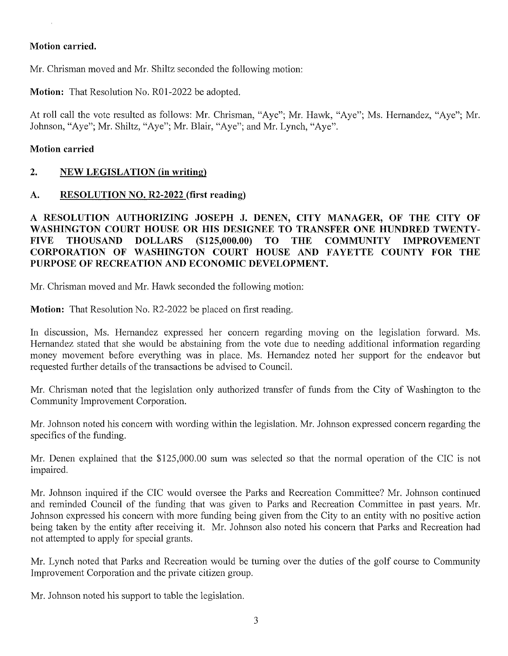#### Motion carried.

Mr. Chrisman moved and Mr. Shiltz seconded the following motion:

Motion: That Resolution No. R01-2022 be adopted.

At roll call the vote resulted as follows: Mr. Chrisman, "Aye"; Mr. Hawk, "Aye"; Ms. Hernandez, "Aye"; Mr. Johnson, "Aye"; Mr. Shiltz, "Aye"; Mr. Blair, "Aye"; and Mr. Lynch, "Aye".

#### Motion carried

# 2. NEW LEGISLATION (in writing)

# A. RESOLUTION NO. R2-2022 (first reading)

RESOLUTION AUTHORIZING JOSEPH J. DENEN, CITY MANAGER, OF THE CITY OF A RESOLUTION AUTHORIZING JOSEPH J. DENEN, CITY MANAGER, OF THE CITY OF WASHINGTON COURT HOUSE OR HIS DESIGNEE TO TRANSFER ONE HUNDRED TWENTY-WASHINGTON COURT HOUSE OR HIS DESIGNEE TO TRANSFER ONE HUNDRED TWENTY-<br>FIVE THOUSAND DOLLARS (\$125,000.00) TO THE COMMUNITY IMPROVEMENT FIVE THOUSAND DOLLARS (\$125,000.00) TO THE COMMUNITY IMPROVEMENT<br>CORPORATION OF WASHINGTON COURT HOUSE AND FAYETTE COUNTY FOR THE CORPORATION OF WASHINGTON COURT HOUSE AND<br>PURPOSE OF RECREATION AND ECONOMIC DEVELOPMENT.

Mr. Chrisman moved and Mr. Hawk seconded the following motion:

Motion: That Resolution No. R2-2022 be placed on first reading.

In discussion, Ms. Hernandez expressed her concern regarding moving on the legislation forward. Ms. Hernandez stated that she would be abstaining from the vote due to needing additional information regarding money movement before everything was in place. Ms. Hernandez noted her support for the endeavor but requested further details of the transactions be advised to Council.

Mr. Chrisman noted that the legislation only authorized transfer of funds from the City of Washington to the Community Improvement Corporation.

Mr. Johnson noted his concern with wording within the legislation. Mr. Johnson expressed concern regarding the specifics of the funding.

Mr. Denen explained that the \$125,000.00 sum was selected so that the normal operation of the CIC is not impaired.

Mr. Johnson inquired if the CIC would oversee the Parks and Recreation Committee? Mr. Johnson continued and reminded Council of the funding that was given to Parks and Recreation Committee in past years. Mr. Johnson expressed his concern with more funding being given from the City to an entity with no positive action being taken by the entity after receiving it. Mr. Johnson also noted his concern that Parks and Recreation had not attempted to apply for special grants.

Mr. Lynch noted that Parks and Recreation would be turning over the duties of the golf course to Community Improvement Corporation and the private citizen group.

Mr. Johnson noted his support to table the legislation.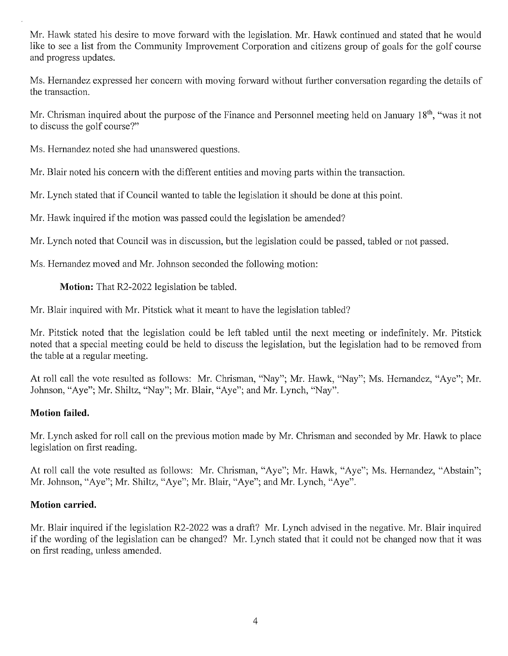Mr. Hawk stated his desire to move forward with the legislation. Mr. Hawk continued and stated that he would like to see a list from the Community Improvement Corporation and citizens group of goals for the golf course and progress updates.

Ms. Hernandez expressed her concern with moving forward without further conversation regarding the details of the transaction.

Mr. Chrisman inquired about the purpose of the Finance and Personnel meeting held on January  $18<sup>th</sup>$ , "was it not to discuss the golf course?"

Ms. Hernandez noted she had unanswered questions.

Mr. Blair noted his concern with the different entities and moving parts within the transaction.

Mr. Lynch stated that if Council wanted to table the legislation it should be done at this point.

Mr. Hawk inquired if the motion was passed could the legislation be amended?

Mr. Lynch noted that Council was in discussion, but the legislation could be passed, tabled or not passed.

Ms. Hernandez moved and Mr. Johnson seconded the following motion:

Motion: That R2-2022 legislation be tabled.

Mr. Blair inquired with Mr. Pitstick what it meant to have the legislation tabled?

Mr. Pitstick noted that the legislation could be left tabled until the next meeting or indefinitely. Mr. Pitstick noted that a special meeting could be held to discuss the legislation, but the legislation had to be removed from the table at a regular meeting.

At roll call the vote resulted as follows: Mr. Chrisman, "Nay"; Mr. Hawk, "Nay"; Ms. Hernandez, "Aye"; Mr. Johnson, "Aye"; Mr. Shiltz, "Nay"; Mr. Blair, "Aye"; and Mr. Lynch, "Nay".

## Motion failed.

Mr. Lynch asked for roll call on the previous motion made by Mr. Chrisman and seconded by Mr. Hawk to place legislation on first reading.

At roll call the vote resulted as follows: Mr. Chrisman, "Aye"; Mr. Hawk, "Aye"; Ms. Hernandez, "Abstain"; Mr. Johnson, "Aye"; Mr. Shiltz, "Aye"; Mr. Blair, "Aye"; and Mr. Lynch, "Aye".

## Motion carried.

Mr. Blair inquired if the legislation R2-2022 was a draft? Mr. Lynch advised in the negative. Mr. Blair inquired if the wording of the legislation can be changed? Mr. Lynch stated that it could not be changed now that it was on first reading, unless amended.